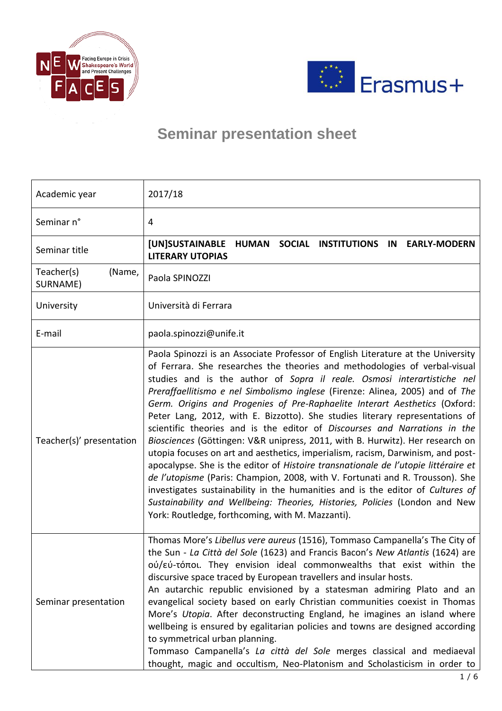



# **Seminar presentation sheet**

| Academic year                    | 2017/18                                                                                                                                                                                                                                                                                                                                                                                                                                                                                                                                                                                                                                                                                                                                                                                                                                                                                                                                                                                                                                                                                                                               |
|----------------------------------|---------------------------------------------------------------------------------------------------------------------------------------------------------------------------------------------------------------------------------------------------------------------------------------------------------------------------------------------------------------------------------------------------------------------------------------------------------------------------------------------------------------------------------------------------------------------------------------------------------------------------------------------------------------------------------------------------------------------------------------------------------------------------------------------------------------------------------------------------------------------------------------------------------------------------------------------------------------------------------------------------------------------------------------------------------------------------------------------------------------------------------------|
| Seminar n°                       | 4                                                                                                                                                                                                                                                                                                                                                                                                                                                                                                                                                                                                                                                                                                                                                                                                                                                                                                                                                                                                                                                                                                                                     |
| Seminar title                    | [UN]SUSTAINABLE HUMAN<br>SOCIAL INSTITUTIONS<br><b>EARLY-MODERN</b><br>IN<br><b>LITERARY UTOPIAS</b>                                                                                                                                                                                                                                                                                                                                                                                                                                                                                                                                                                                                                                                                                                                                                                                                                                                                                                                                                                                                                                  |
| Teacher(s)<br>(Name,<br>SURNAME) | Paola SPINOZZI                                                                                                                                                                                                                                                                                                                                                                                                                                                                                                                                                                                                                                                                                                                                                                                                                                                                                                                                                                                                                                                                                                                        |
| University                       | Università di Ferrara                                                                                                                                                                                                                                                                                                                                                                                                                                                                                                                                                                                                                                                                                                                                                                                                                                                                                                                                                                                                                                                                                                                 |
| E-mail                           | paola.spinozzi@unife.it                                                                                                                                                                                                                                                                                                                                                                                                                                                                                                                                                                                                                                                                                                                                                                                                                                                                                                                                                                                                                                                                                                               |
| Teacher(s)' presentation         | Paola Spinozzi is an Associate Professor of English Literature at the University<br>of Ferrara. She researches the theories and methodologies of verbal-visual<br>studies and is the author of Sopra il reale. Osmosi interartistiche nel<br>Preraffaellitismo e nel Simbolismo inglese (Firenze: Alinea, 2005) and of The<br>Germ. Origins and Progenies of Pre-Raphaelite Interart Aesthetics (Oxford:<br>Peter Lang, 2012, with E. Bizzotto). She studies literary representations of<br>scientific theories and is the editor of Discourses and Narrations in the<br>Biosciences (Göttingen: V&R unipress, 2011, with B. Hurwitz). Her research on<br>utopia focuses on art and aesthetics, imperialism, racism, Darwinism, and post-<br>apocalypse. She is the editor of Histoire transnationale de l'utopie littéraire et<br>de l'utopisme (Paris: Champion, 2008, with V. Fortunati and R. Trousson). She<br>investigates sustainability in the humanities and is the editor of Cultures of<br>Sustainability and Wellbeing: Theories, Histories, Policies (London and New<br>York: Routledge, forthcoming, with M. Mazzanti). |
| Seminar presentation             | Thomas More's Libellus vere aureus (1516), Tommaso Campanella's The City of<br>the Sun - La Città del Sole (1623) and Francis Bacon's New Atlantis (1624) are<br>ού/εύ-τόποι. They envision ideal commonwealths that exist within the<br>discursive space traced by European travellers and insular hosts.<br>An autarchic republic envisioned by a statesman admiring Plato and an<br>evangelical society based on early Christian communities coexist in Thomas<br>More's Utopia. After deconstructing England, he imagines an island where<br>wellbeing is ensured by egalitarian policies and towns are designed according<br>to symmetrical urban planning.<br>Tommaso Campanella's La città del Sole merges classical and mediaeval<br>thought, magic and occultism, Neo-Platonism and Scholasticism in order to                                                                                                                                                                                                                                                                                                                |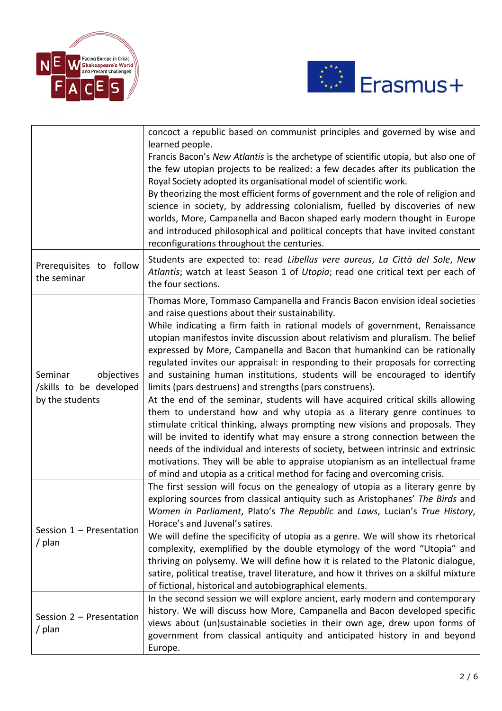



|                                                                     | concoct a republic based on communist principles and governed by wise and<br>learned people.<br>Francis Bacon's New Atlantis is the archetype of scientific utopia, but also one of<br>the few utopian projects to be realized: a few decades after its publication the<br>Royal Society adopted its organisational model of scientific work.<br>By theorizing the most efficient forms of government and the role of religion and<br>science in society, by addressing colonialism, fuelled by discoveries of new<br>worlds, More, Campanella and Bacon shaped early modern thought in Europe<br>and introduced philosophical and political concepts that have invited constant<br>reconfigurations throughout the centuries.                                                                                                                                                                                                                                                                                                                                                                                                                                                             |
|---------------------------------------------------------------------|--------------------------------------------------------------------------------------------------------------------------------------------------------------------------------------------------------------------------------------------------------------------------------------------------------------------------------------------------------------------------------------------------------------------------------------------------------------------------------------------------------------------------------------------------------------------------------------------------------------------------------------------------------------------------------------------------------------------------------------------------------------------------------------------------------------------------------------------------------------------------------------------------------------------------------------------------------------------------------------------------------------------------------------------------------------------------------------------------------------------------------------------------------------------------------------------|
| Prerequisites to follow<br>the seminar                              | Students are expected to: read Libellus vere aureus, La Città del Sole, New<br>Atlantis; watch at least Season 1 of Utopia; read one critical text per each of<br>the four sections.                                                                                                                                                                                                                                                                                                                                                                                                                                                                                                                                                                                                                                                                                                                                                                                                                                                                                                                                                                                                       |
| objectives<br>Seminar<br>/skills to be developed<br>by the students | Thomas More, Tommaso Campanella and Francis Bacon envision ideal societies<br>and raise questions about their sustainability.<br>While indicating a firm faith in rational models of government, Renaissance<br>utopian manifestos invite discussion about relativism and pluralism. The belief<br>expressed by More, Campanella and Bacon that humankind can be rationally<br>regulated invites our appraisal: in responding to their proposals for correcting<br>and sustaining human institutions, students will be encouraged to identify<br>limits (pars destruens) and strengths (pars construens).<br>At the end of the seminar, students will have acquired critical skills allowing<br>them to understand how and why utopia as a literary genre continues to<br>stimulate critical thinking, always prompting new visions and proposals. They<br>will be invited to identify what may ensure a strong connection between the<br>needs of the individual and interests of society, between intrinsic and extrinsic<br>motivations. They will be able to appraise utopianism as an intellectual frame<br>of mind and utopia as a critical method for facing and overcoming crisis. |
| Session 1 - Presentation<br>/ $plan$                                | The first session will focus on the genealogy of utopia as a literary genre by<br>exploring sources from classical antiquity such as Aristophanes' The Birds and<br>Women in Parliament, Plato's The Republic and Laws, Lucian's True History,<br>Horace's and Juvenal's satires.<br>We will define the specificity of utopia as a genre. We will show its rhetorical<br>complexity, exemplified by the double etymology of the word "Utopia" and<br>thriving on polysemy. We will define how it is related to the Platonic dialogue,<br>satire, political treatise, travel literature, and how it thrives on a skilful mixture<br>of fictional, historical and autobiographical elements.                                                                                                                                                                                                                                                                                                                                                                                                                                                                                                 |
| Session 2 - Presentation<br>/ plan                                  | In the second session we will explore ancient, early modern and contemporary<br>history. We will discuss how More, Campanella and Bacon developed specific<br>views about (un)sustainable societies in their own age, drew upon forms of<br>government from classical antiquity and anticipated history in and beyond<br>Europe.                                                                                                                                                                                                                                                                                                                                                                                                                                                                                                                                                                                                                                                                                                                                                                                                                                                           |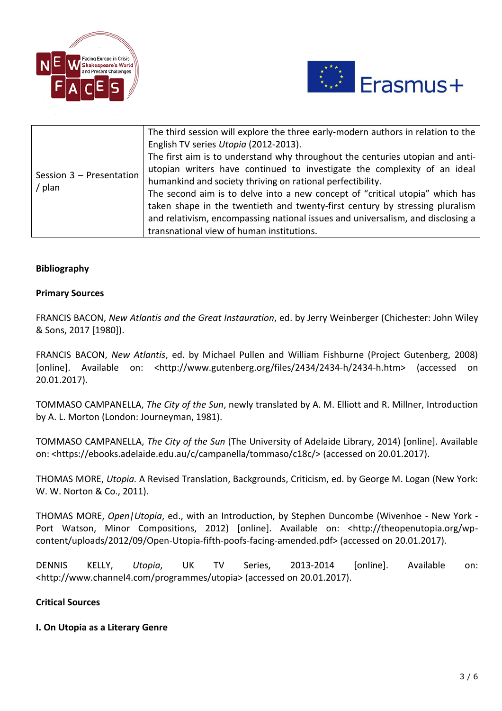



| Session $3$ – Presentation<br>$/$ plan | The third session will explore the three early-modern authors in relation to the<br>English TV series Utopia (2012-2013).<br>The first aim is to understand why throughout the centuries utopian and anti-<br>utopian writers have continued to investigate the complexity of an ideal<br>humankind and society thriving on rational perfectibility.<br>The second aim is to delve into a new concept of "critical utopia" which has<br>taken shape in the twentieth and twenty-first century by stressing pluralism<br>and relativism, encompassing national issues and universalism, and disclosing a<br>transnational view of human institutions. |
|----------------------------------------|------------------------------------------------------------------------------------------------------------------------------------------------------------------------------------------------------------------------------------------------------------------------------------------------------------------------------------------------------------------------------------------------------------------------------------------------------------------------------------------------------------------------------------------------------------------------------------------------------------------------------------------------------|
|                                        |                                                                                                                                                                                                                                                                                                                                                                                                                                                                                                                                                                                                                                                      |

## **Bibliography**

#### **Primary Sources**

FRANCIS BACON, *New Atlantis and the Great Instauration*, ed. by Jerry Weinberger (Chichester: John Wiley & Sons, 2017 [1980]).

FRANCIS BACON, *New Atlantis*, ed. by Michael Pullen and William Fishburne (Project Gutenberg, 2008) [online]. Available on: <http://www.gutenberg.org/files/2434/2434-h/2434-h.htm> (accessed on 20.01.2017).

TOMMASO CAMPANELLA, *The City of the Sun*, newly translated by A. M. Elliott and R. Millner, Introduction by A. L. Morton (London: Journeyman, 1981).

TOMMASO CAMPANELLA, *The City of the Sun* (The University of Adelaide Library, 2014) [online]. Available on: <https://ebooks.adelaide.edu.au/c/campanella/tommaso/c18c/> (accessed on 20.01.2017).

THOMAS MORE, *Utopia.* A Revised Translation, Backgrounds, Criticism, ed. by George M. Logan (New York: W. W. Norton & Co., 2011).

THOMAS MORE, *Open|Utopia*, ed., with an Introduction, by Stephen Duncombe (Wivenhoe - New York - Port Watson, Minor Compositions, 2012) [online]. Available on: <http://theopenutopia.org/wpcontent/uploads/2012/09/Open-Utopia-fifth-poofs-facing-amended.pdf> (accessed on 20.01.2017).

DENNIS KELLY, *Utopia*, UK TV Series, 2013-2014 [online]. Available on: <http://www.channel4.com/programmes/utopia> (accessed on 20.01.2017).

#### **Critical Sources**

**I. On Utopia as a Literary Genre**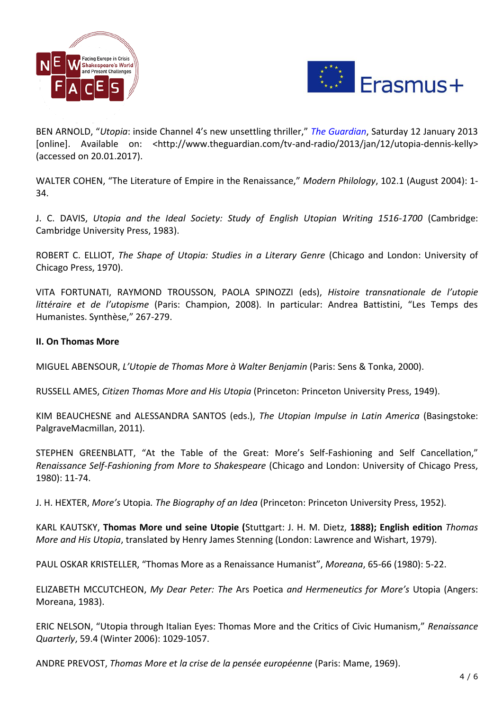



BEN ARNOLD, "*Utopia*: inside Channel 4's new unsettling thriller," *[The Guardian](http://www.guardian.co.uk/theguardian)*, Saturday 12 January 2013 [online]. Available on: <http://www.theguardian.com/tv-and-radio/2013/jan/12/utopia-dennis-kelly> (accessed on 20.01.2017).

WALTER COHEN, "The Literature of Empire in the Renaissance," *Modern Philology*, 102.1 (August 2004): 1- 34.

J. C. DAVIS, *Utopia and the Ideal Society: Study of English Utopian Writing 1516-1700* (Cambridge: Cambridge University Press, 1983).

ROBERT C. ELLIOT, *The Shape of Utopia: Studies in a Literary Genre* (Chicago and London: University of Chicago Press, 1970).

VITA FORTUNATI, RAYMOND TROUSSON, PAOLA SPINOZZI (eds), *Histoire transnationale de l'utopie littéraire et de l'utopisme* (Paris: Champion, 2008). In particular: Andrea Battistini, "Les Temps des Humanistes. Synthèse," 267-279.

#### **II. On Thomas More**

MIGUEL ABENSOUR, *L'Utopie de Thomas More à Walter Benjamin* (Paris: Sens & Tonka, 2000).

RUSSELL AMES, *Citizen Thomas More and His Utopia* (Princeton: Princeton University Press, 1949).

KIM BEAUCHESNE and ALESSANDRA SANTOS (eds.), *The Utopian Impulse in Latin America* (Basingstoke: PalgraveMacmillan, 2011).

STEPHEN GREENBLATT, "At the Table of the Great: More's Self-Fashioning and Self Cancellation," *Renaissance Self-Fashioning from More to Shakespeare* (Chicago and London: University of Chicago Press, 1980): 11-74.

J. H. HEXTER, *More's* Utopia*. The Biography of an Idea* (Princeton: Princeton University Press, 1952).

KARL KAUTSKY, **Thomas More und seine Utopie (**Stuttgart: J. H. M. Dietz, **1888); English edition** *Thomas More and His Utopia*, translated by Henry James Stenning (London: Lawrence and Wishart, 1979).

PAUL OSKAR KRISTELLER, "Thomas More as a Renaissance Humanist", *Moreana*, 65-66 (1980): 5-22.

ELIZABETH MCCUTCHEON, *My Dear Peter: The* Ars Poetica *and Hermeneutics for More's* Utopia (Angers: Moreana, 1983).

ERIC NELSON, "Utopia through Italian Eyes: Thomas More and the Critics of Civic Humanism," *Renaissance Quarterly*, 59.4 (Winter 2006): 1029-1057.

ANDRE PREVOST, *Thomas More et la crise de la pensée européenne* (Paris: Mame, 1969).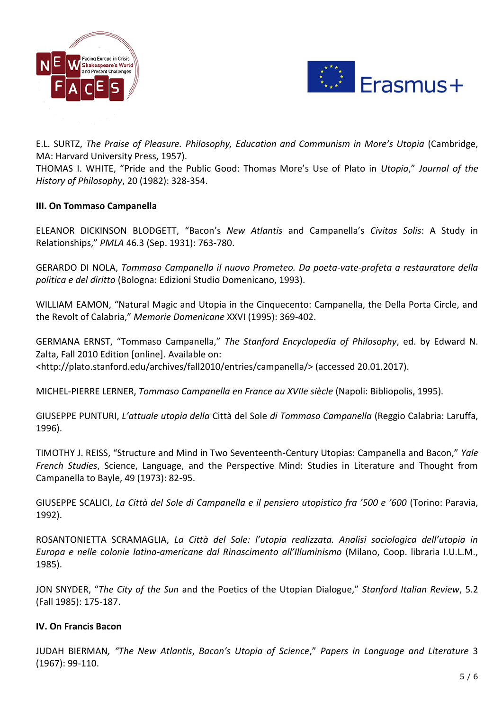



E.L. SURTZ, *The Praise of Pleasure. Philosophy, Education and Communism in More's Utopia* (Cambridge, MA: Harvard University Press, 1957).

THOMAS I. WHITE, "Pride and the Public Good: Thomas More's Use of Plato in *Utopia*," *Journal of the History of Philosophy*, 20 (1982): 328-354.

### **III. On Tommaso Campanella**

ELEANOR DICKINSON BLODGETT, "Bacon's *New Atlantis* and Campanella's *Civitas Solis*: A Study in Relationships," *PMLA* 46.3 (Sep. 1931): 763-780.

GERARDO DI NOLA, *Tommaso Campanella il nuovo Prometeo. Da poeta-vate-profeta a restauratore della politica e del diritto* (Bologna: Edizioni Studio Domenicano, 1993).

WILLIAM EAMON, "Natural Magic and Utopia in the Cinquecento: Campanella, the Della Porta Circle, and the Revolt of Calabria," *Memorie Domenicane* XXVI (1995): 369-402.

GERMANA ERNST, "Tommaso Campanella," *The Stanford Encyclopedia of Philosophy*, ed. by Edward N. Zalta, Fall 2010 Edition [online]. Available on: <http://plato.stanford.edu/archives/fall2010/entries/campanella/> (accessed 20.01.2017).

MICHEL-PIERRE LERNER, *Tommaso Campanella en France au XVIIe siècle* (Napoli: Bibliopolis, 1995).

GIUSEPPE PUNTURI, *L'attuale utopia della* Città del Sole *di Tommaso Campanella* (Reggio Calabria: Laruffa, 1996).

TIMOTHY J. REISS, "Structure and Mind in Two Seventeenth-Century Utopias: Campanella and Bacon," *Yale French Studies*, Science, Language, and the Perspective Mind: Studies in Literature and Thought from Campanella to Bayle, 49 (1973): 82-95.

GIUSEPPE SCALICI, *La Città del Sole di Campanella e il pensiero utopistico fra '500 e '600* (Torino: Paravia, 1992).

ROSANTONIETTA SCRAMAGLIA, *La Città del Sole: l'utopia realizzata. Analisi sociologica dell'utopia in Europa e nelle colonie latino-americane dal Rinascimento all'Illuminismo* (Milano, Coop. libraria I.U.L.M., 1985).

JON SNYDER, "*The City of the Sun* and the Poetics of the Utopian Dialogue," *Stanford Italian Review*, 5.2 (Fall 1985): 175-187.

#### **IV. On Francis Bacon**

JUDAH BIERMAN*, "The New Atlantis*, *Bacon's Utopia of Science*," *Papers in Language and Literature* 3 (1967): 99-110.